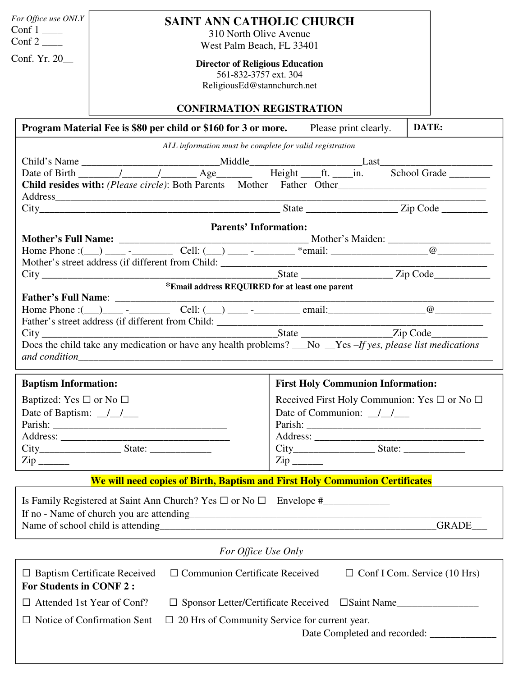| For Office use ONLY                                                                                                                                   | <b>SAINT ANN CATHOLIC CHURCH</b>                                                                                                                                                                                               |                                                                                                                                                                                                                                                                                                                                                                                                       |          |  |
|-------------------------------------------------------------------------------------------------------------------------------------------------------|--------------------------------------------------------------------------------------------------------------------------------------------------------------------------------------------------------------------------------|-------------------------------------------------------------------------------------------------------------------------------------------------------------------------------------------------------------------------------------------------------------------------------------------------------------------------------------------------------------------------------------------------------|----------|--|
| 310 North Olive Avenue<br>Conf 2 $\qquad$<br>West Palm Beach, FL 33401                                                                                |                                                                                                                                                                                                                                |                                                                                                                                                                                                                                                                                                                                                                                                       |          |  |
| Conf. Yr. $20$<br><b>Director of Religious Education</b><br>561-832-3757 ext. 304<br>ReligiousEd@stannchurch.net<br><b>CONFIRMATION REGISTRATION</b>  |                                                                                                                                                                                                                                |                                                                                                                                                                                                                                                                                                                                                                                                       |          |  |
|                                                                                                                                                       |                                                                                                                                                                                                                                |                                                                                                                                                                                                                                                                                                                                                                                                       |          |  |
|                                                                                                                                                       | ALL information must be complete for valid registration                                                                                                                                                                        |                                                                                                                                                                                                                                                                                                                                                                                                       |          |  |
|                                                                                                                                                       |                                                                                                                                                                                                                                |                                                                                                                                                                                                                                                                                                                                                                                                       |          |  |
| Date of Birth 11 1 1 Age Reight ft. in. School Grade                                                                                                  |                                                                                                                                                                                                                                |                                                                                                                                                                                                                                                                                                                                                                                                       |          |  |
|                                                                                                                                                       | Child resides with: (Please circle): Both Parents Mother Father Other                                                                                                                                                          |                                                                                                                                                                                                                                                                                                                                                                                                       |          |  |
|                                                                                                                                                       | Address and the contract of the contract of the contract of the contract of the contract of the contract of the contract of the contract of the contract of the contract of the contract of the contract of the contract of th |                                                                                                                                                                                                                                                                                                                                                                                                       |          |  |
|                                                                                                                                                       | <b>Parents' Information:</b>                                                                                                                                                                                                   |                                                                                                                                                                                                                                                                                                                                                                                                       |          |  |
|                                                                                                                                                       |                                                                                                                                                                                                                                |                                                                                                                                                                                                                                                                                                                                                                                                       |          |  |
|                                                                                                                                                       |                                                                                                                                                                                                                                |                                                                                                                                                                                                                                                                                                                                                                                                       |          |  |
|                                                                                                                                                       |                                                                                                                                                                                                                                |                                                                                                                                                                                                                                                                                                                                                                                                       |          |  |
|                                                                                                                                                       |                                                                                                                                                                                                                                |                                                                                                                                                                                                                                                                                                                                                                                                       |          |  |
|                                                                                                                                                       | *Email address REQUIRED for at least one parent                                                                                                                                                                                |                                                                                                                                                                                                                                                                                                                                                                                                       |          |  |
|                                                                                                                                                       |                                                                                                                                                                                                                                |                                                                                                                                                                                                                                                                                                                                                                                                       |          |  |
|                                                                                                                                                       |                                                                                                                                                                                                                                |                                                                                                                                                                                                                                                                                                                                                                                                       |          |  |
|                                                                                                                                                       |                                                                                                                                                                                                                                |                                                                                                                                                                                                                                                                                                                                                                                                       |          |  |
|                                                                                                                                                       | Does the child take any medication or have any health problems? __No _Yes -If yes, please list medications<br>and condition and condition and condition and condition and condition and condition and condition and condition  |                                                                                                                                                                                                                                                                                                                                                                                                       |          |  |
| <b>Baptism Information:</b>                                                                                                                           |                                                                                                                                                                                                                                | <b>First Holy Communion Information:</b>                                                                                                                                                                                                                                                                                                                                                              |          |  |
| Baptized: Yes $\square$ or No $\square$                                                                                                               |                                                                                                                                                                                                                                | Received First Holy Communion: Yes $\square$ or No $\square$                                                                                                                                                                                                                                                                                                                                          |          |  |
| Date of Baptism: $\frac{\ }{\ }$                                                                                                                      |                                                                                                                                                                                                                                | Date of Communion: $\frac{1}{\sqrt{1-\frac{1}{1-\frac{1}{1-\frac{1}{1-\frac{1}{1-\frac{1}{1-\frac{1}{1-\frac{1}{1-\frac{1}{1-\frac{1}{1-\frac{1}{1-\frac{1}{1-\frac{1}{1-\frac{1}{1-\frac{1}{1-\frac{1}{1-\frac{1}{1-\frac{1}{1-\frac{1}{1-\frac{1}{1-\frac{1}{1-\frac{1}{1-\frac{1}{1-\frac{1}{1-\frac{1}{1-\frac{1}{1-\frac{1}{1-\frac{1}{1-\frac{1}{1-\frac{1}{1-\frac{1}{1-\frac{1}{1-\frac{1}{1$ |          |  |
|                                                                                                                                                       |                                                                                                                                                                                                                                |                                                                                                                                                                                                                                                                                                                                                                                                       |          |  |
|                                                                                                                                                       |                                                                                                                                                                                                                                |                                                                                                                                                                                                                                                                                                                                                                                                       |          |  |
|                                                                                                                                                       |                                                                                                                                                                                                                                | $\mathsf{Zip} \_\_$                                                                                                                                                                                                                                                                                                                                                                                   |          |  |
|                                                                                                                                                       |                                                                                                                                                                                                                                |                                                                                                                                                                                                                                                                                                                                                                                                       |          |  |
|                                                                                                                                                       | We will need copies of Birth, Baptism and First Holy Communion Certificates                                                                                                                                                    |                                                                                                                                                                                                                                                                                                                                                                                                       |          |  |
|                                                                                                                                                       |                                                                                                                                                                                                                                |                                                                                                                                                                                                                                                                                                                                                                                                       | GRADE___ |  |
|                                                                                                                                                       | For Office Use Only                                                                                                                                                                                                            |                                                                                                                                                                                                                                                                                                                                                                                                       |          |  |
| $\Box$ Communion Certificate Received<br>$\Box$ Baptism Certificate Received<br>$\Box$ Conf I Com. Service (10 Hrs)<br><b>For Students in CONF 2:</b> |                                                                                                                                                                                                                                |                                                                                                                                                                                                                                                                                                                                                                                                       |          |  |
| $\Box$ Attended 1st Year of Conf?                                                                                                                     |                                                                                                                                                                                                                                | □ Sponsor Letter/Certificate Received □Saint Name                                                                                                                                                                                                                                                                                                                                                     |          |  |
| $\Box$ Notice of Confirmation Sent                                                                                                                    |                                                                                                                                                                                                                                | $\Box$ 20 Hrs of Community Service for current year.                                                                                                                                                                                                                                                                                                                                                  |          |  |
|                                                                                                                                                       |                                                                                                                                                                                                                                |                                                                                                                                                                                                                                                                                                                                                                                                       |          |  |